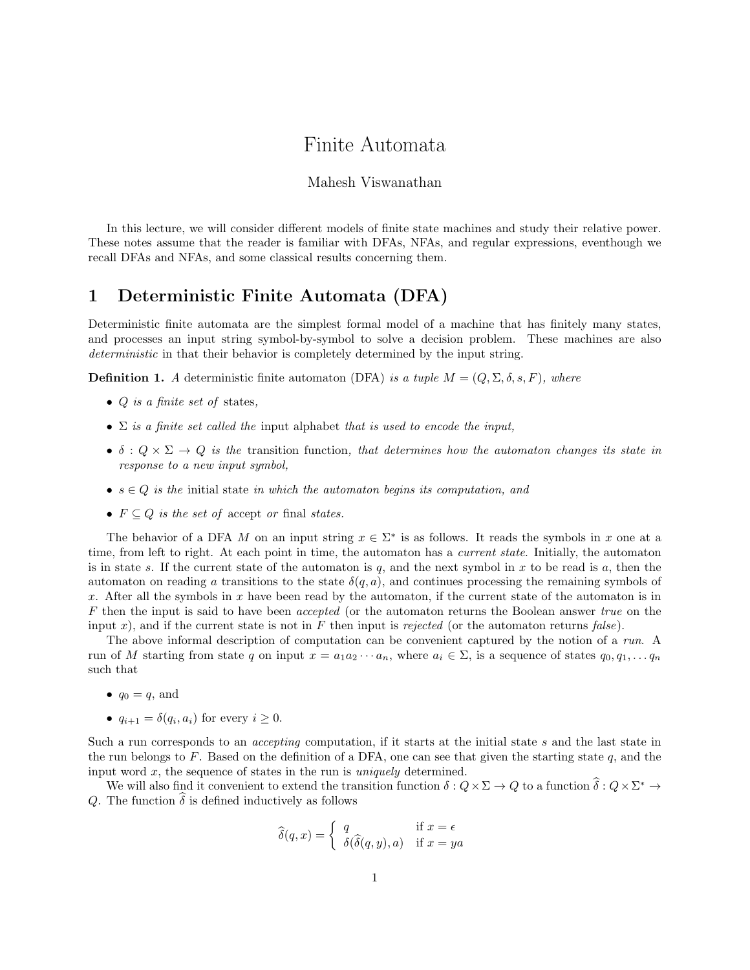# Finite Automata

### Mahesh Viswanathan

In this lecture, we will consider different models of finite state machines and study their relative power. These notes assume that the reader is familiar with DFAs, NFAs, and regular expressions, eventhough we recall DFAs and NFAs, and some classical results concerning them.

## 1 Deterministic Finite Automata (DFA)

Deterministic finite automata are the simplest formal model of a machine that has finitely many states, and processes an input string symbol-by-symbol to solve a decision problem. These machines are also deterministic in that their behavior is completely determined by the input string.

**Definition 1.** A deterministic finite automaton (DFA) is a tuple  $M = (Q, \Sigma, \delta, s, F)$ , where

- $Q$  is a finite set of states,
- $\Sigma$  is a finite set called the input alphabet that is used to encode the input,
- $\delta: Q \times \Sigma \rightarrow Q$  is the transition function, that determines how the automaton changes its state in response to a new input symbol,
- $s \in Q$  is the initial state in which the automaton begins its computation, and
- $F \subseteq Q$  is the set of accept or final states.

The behavior of a DFA M on an input string  $x \in \Sigma^*$  is as follows. It reads the symbols in x one at a time, from left to right. At each point in time, the automaton has a *current state*. Initially, the automaton is in state s. If the current state of the automaton is  $q$ , and the next symbol in x to be read is  $a$ , then the automaton on reading a transitions to the state  $\delta(q, a)$ , and continues processing the remaining symbols of x. After all the symbols in x have been read by the automaton, if the current state of the automaton is in F then the input is said to have been accepted (or the automaton returns the Boolean answer true on the input x), and if the current state is not in F then input is rejected (or the automaton returns false).

The above informal description of computation can be convenient captured by the notion of a run. A run of M starting from state q on input  $x = a_1 a_2 \cdots a_n$ , where  $a_i \in \Sigma$ , is a sequence of states  $q_0, q_1, \ldots, q_n$ such that

- $q_0 = q$ , and
- $q_{i+1} = \delta(q_i, a_i)$  for every  $i \geq 0$ .

Such a run corresponds to an *accepting* computation, if it starts at the initial state s and the last state in the run belongs to F. Based on the definition of a DFA, one can see that given the starting state q, and the input word  $x$ , the sequence of states in the run is *uniquely* determined.

We will also find it convenient to extend the transition function  $\delta: Q \times \Sigma \to Q$  to a function  $\hat{\delta}: Q \times \Sigma^* \to \Sigma^*$ Q. The function  $\hat{\delta}$  is defined inductively as follows

$$
\widehat{\delta}(q, x) = \begin{cases} q & \text{if } x = \epsilon \\ \delta(\widehat{\delta}(q, y), a) & \text{if } x = ya \end{cases}
$$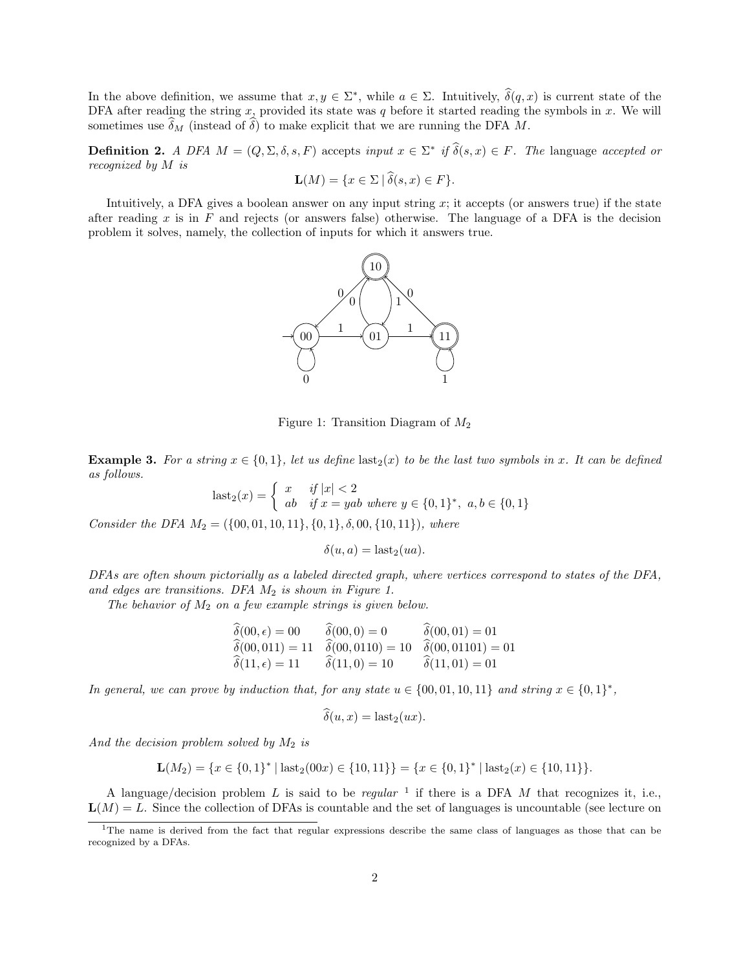In the above definition, we assume that  $x, y \in \Sigma^*$ , while  $a \in \Sigma$ . Intuitively,  $\hat{\delta}(q, x)$  is current state of the DFA after reading the string x, provided its state was q before it started reading the symbols in  $x$ . We will sometimes use  $\delta_M$  (instead of  $\delta$ ) to make explicit that we are running the DFA M.

**Definition 2.** A DFA  $M = (Q, \Sigma, \delta, s, F)$  accepts input  $x \in \Sigma^*$  if  $\hat{\delta}(s, x) \in F$ . The language accepted or recognized by M is

$$
\mathbf{L}(M) = \{ x \in \Sigma \mid \delta(s, x) \in F \}.
$$

Intuitively, a DFA gives a boolean answer on any input string  $x$ ; it accepts (or answers true) if the state after reading  $x$  is in  $F$  and rejects (or answers false) otherwise. The language of a DFA is the decision problem it solves, namely, the collection of inputs for which it answers true.



Figure 1: Transition Diagram of  $M_2$ 

**Example 3.** For a string  $x \in \{0, 1\}$ , let us define last<sub>2</sub>(x) to be the last two symbols in x. It can be defined as follows.

$$
last_2(x) = \begin{cases} x & \text{if } |x| < 2\\ ab & \text{if } x = yab \text{ where } y \in \{0, 1\}^*, \ a, b \in \{0, 1\} \end{cases}
$$

Consider the DFA  $M_2 = (\{00, 01, 10, 11\}, \{0, 1\}, \delta, 00, \{10, 11\})$ , where

$$
\delta(u, a) = \text{last}_2(ua).
$$

DFAs are often shown pictorially as a labeled directed graph, where vertices correspond to states of the DFA, and edges are transitions. DFA  $M_2$  is shown in Figure 1.

The behavior of  $M_2$  on a few example strings is given below.

$$
\begin{aligned}\n\widehat{\delta}(00, \epsilon) &= 00 & \widehat{\delta}(00, 0) &= 0 & \widehat{\delta}(00, 01) &= 01 \\
\widehat{\delta}(00, 011) &= 11 & \widehat{\delta}(00, 0110) &= 10 & \widehat{\delta}(00, 01101) &= 01 \\
\widehat{\delta}(11, \epsilon) &= 11 & \widehat{\delta}(11, 0) &= 10 & \widehat{\delta}(11, 01) &= 01\n\end{aligned}
$$

In general, we can prove by induction that, for any state  $u \in \{00, 01, 10, 11\}$  and string  $x \in \{0, 1\}^*$ ,

$$
\delta(u, x) = \text{last}_2(ux).
$$

And the decision problem solved by  $M_2$  is

$$
\mathbf{L}(M_2) = \{x \in \{0,1\}^* \mid \text{last}_2(00x) \in \{10,11\}\} = \{x \in \{0,1\}^* \mid \text{last}_2(x) \in \{10,11\}\}.
$$

A language/decision problem L is said to be regular <sup>1</sup> if there is a DFA M that recognizes it, i.e.,  $L(M) = L$ . Since the collection of DFAs is countable and the set of languages is uncountable (see lecture on

<sup>&</sup>lt;sup>1</sup>The name is derived from the fact that regular expressions describe the same class of languages as those that can be recognized by a DFAs.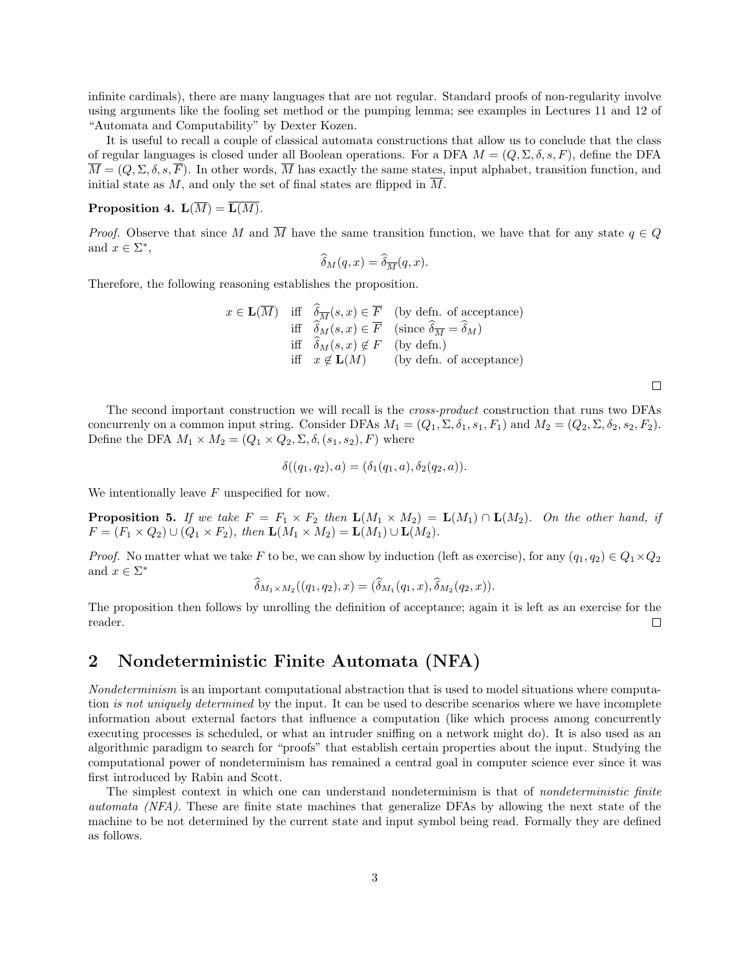infinite cardinals), there are many languages that are not regular. Standard proofs of non-regularity involve using arguments like the fooling set method or the pumping lemma; see examples in Lectures 11 and 12 of "Automata and Computability" by Dexter Kozen.

It is useful to recall a couple of classical automata constructions that allow us to conclude that the class of regular languages is closed under all Boolean operations. For a DFA  $M = (Q, \Sigma, \delta, s, F)$ , define the DFA  $\overline{M} = (Q, \Sigma, \delta, s, \overline{F}).$  In other words,  $\overline{M}$  has exactly the same states, input alphabet, transition function, and initial state as M, and only the set of final states are flipped in  $\overline{M}$ .

### **Proposition 4.**  $\mathbf{L}(\overline{M}) = \overline{\mathbf{L}(M)}$ .

*Proof.* Observe that since M and  $\overline{M}$  have the same transition function, we have that for any state  $q \in Q$ and  $x \in \Sigma^*$ ,

$$
\widehat{\delta}_M(q, x) = \widehat{\delta}_{\overline{M}}(q, x).
$$

Therefore, the following reasoning establishes the proposition.

$$
x \in \mathbf{L}(\overline{M}) \quad \text{iff} \quad \overline{\delta}_{\overline{M}}(s, x) \in \overline{F} \quad \text{(by defn. of acceptance)}
$$
\n
$$
\text{iff} \quad \overline{\delta}_{M}(s, x) \in \overline{F} \quad \text{(since } \overline{\delta}_{\overline{M}} = \overline{\delta}_{M})
$$
\n
$$
\text{iff} \quad \overline{\delta}_{M}(s, x) \notin F \quad \text{(by defn.)}
$$
\n
$$
\text{iff} \quad x \notin \mathbf{L}(M) \quad \text{(by defn. of acceptance)}
$$

 $\Box$ 

The second important construction we will recall is the cross-product construction that runs two DFAs concurrenly on a common input string. Consider DFAs  $M_1 = (Q_1, \Sigma, \delta_1, s_1, F_1)$  and  $M_2 = (Q_2, \Sigma, \delta_2, s_2, F_2)$ . Define the DFA  $M_1 \times M_2 = (Q_1 \times Q_2, \Sigma, \delta, (s_1, s_2), F)$  where

$$
\delta((q_1, q_2), a) = (\delta_1(q_1, a), \delta_2(q_2, a)).
$$

We intentionally leave  $F$  unspecified for now.

**Proposition 5.** If we take  $F = F_1 \times F_2$  then  $\mathbf{L}(M_1 \times M_2) = \mathbf{L}(M_1) \cap \mathbf{L}(M_2)$ . On the other hand, if  $F = (F_1 \times Q_2) \cup (Q_1 \times F_2)$ , then  $\mathbf{L}(M_1 \times M_2) = \mathbf{L}(M_1) \cup \mathbf{L}(M_2)$ .

*Proof.* No matter what we take F to be, we can show by induction (left as exercise), for any  $(q_1, q_2) \in Q_1 \times Q_2$ and  $x \in \Sigma^*$ 

$$
\delta_{M_1 \times M_2}((q_1, q_2), x) = (\delta_{M_1}(q_1, x), \delta_{M_2}(q_2, x)).
$$

The proposition then follows by unrolling the definition of acceptance; again it is left as an exercise for the reader.  $\Box$ 

### 2 Nondeterministic Finite Automata (NFA)

Nondeterminism is an important computational abstraction that is used to model situations where computation is not uniquely determined by the input. It can be used to describe scenarios where we have incomplete information about external factors that influence a computation (like which process among concurrently executing processes is scheduled, or what an intruder sniffing on a network might do). It is also used as an algorithmic paradigm to search for "proofs" that establish certain properties about the input. Studying the computational power of nondeterminism has remained a central goal in computer science ever since it was first introduced by Rabin and Scott.

The simplest context in which one can understand nondeterminism is that of *nondeterministic finite* automata (NFA). These are finite state machines that generalize DFAs by allowing the next state of the machine to be not determined by the current state and input symbol being read. Formally they are defined as follows.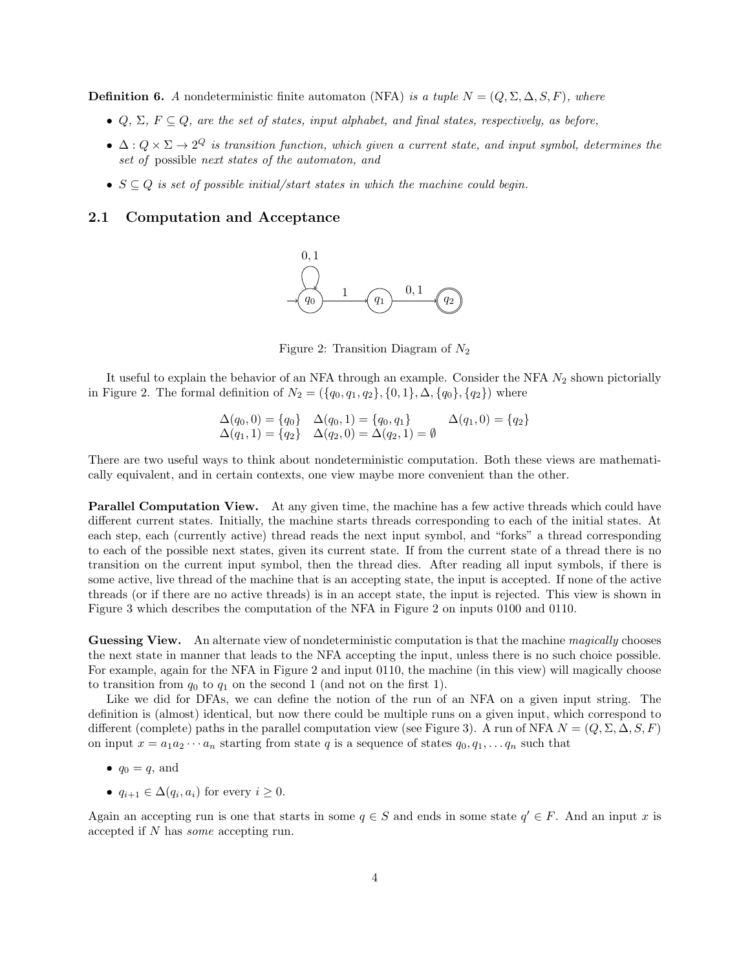**Definition 6.** A nondeterministic finite automaton (NFA) is a tuple  $N = (Q, \Sigma, \Delta, S, F)$ , where

- $Q, \Sigma, F \subseteq Q$ , are the set of states, input alphabet, and final states, respectively, as before,
- $\Delta: Q \times \Sigma \to 2^Q$  is transition function, which given a current state, and input symbol, determines the set of possible next states of the automaton, and
- $S \subseteq Q$  is set of possible initial/start states in which the machine could begin.

#### 2.1 Computation and Acceptance



Figure 2: Transition Diagram of  $N_2$ 

It useful to explain the behavior of an NFA through an example. Consider the NFA  $N_2$  shown pictorially in Figure 2. The formal definition of  $N_2 = (\{q_0, q_1, q_2\}, \{0, 1\}, \Delta, \{q_0\}, \{q_2\})$  where

$$
\Delta(q_0, 0) = \{q_0\} \quad \Delta(q_0, 1) = \{q_0, q_1\} \qquad \Delta(q_1, 0) = \{q_2\} \n\Delta(q_1, 1) = \{q_2\} \quad \Delta(q_2, 0) = \Delta(q_2, 1) = \emptyset
$$

There are two useful ways to think about nondeterministic computation. Both these views are mathematically equivalent, and in certain contexts, one view maybe more convenient than the other.

**Parallel Computation View.** At any given time, the machine has a few active threads which could have different current states. Initially, the machine starts threads corresponding to each of the initial states. At each step, each (currently active) thread reads the next input symbol, and "forks" a thread corresponding to each of the possible next states, given its current state. If from the current state of a thread there is no transition on the current input symbol, then the thread dies. After reading all input symbols, if there is some active, live thread of the machine that is an accepting state, the input is accepted. If none of the active threads (or if there are no active threads) is in an accept state, the input is rejected. This view is shown in Figure 3 which describes the computation of the NFA in Figure 2 on inputs 0100 and 0110.

Guessing View. An alternate view of nondeterministic computation is that the machine magically chooses the next state in manner that leads to the NFA accepting the input, unless there is no such choice possible. For example, again for the NFA in Figure 2 and input 0110, the machine (in this view) will magically choose to transition from  $q_0$  to  $q_1$  on the second 1 (and not on the first 1).

Like we did for DFAs, we can define the notion of the run of an NFA on a given input string. The definition is (almost) identical, but now there could be multiple runs on a given input, which correspond to different (complete) paths in the parallel computation view (see Figure 3). A run of NFA  $N = (Q, \Sigma, \Delta, S, F)$ on input  $x = a_1 a_2 \cdots a_n$  starting from state q is a sequence of states  $q_0, q_1, \ldots q_n$  such that

- $q_0 = q$ , and
- $q_{i+1} \in \Delta(q_i, a_i)$  for every  $i \geq 0$ .

Again an accepting run is one that starts in some  $q \in S$  and ends in some state  $q' \in F$ . And an input x is accepted if N has some accepting run.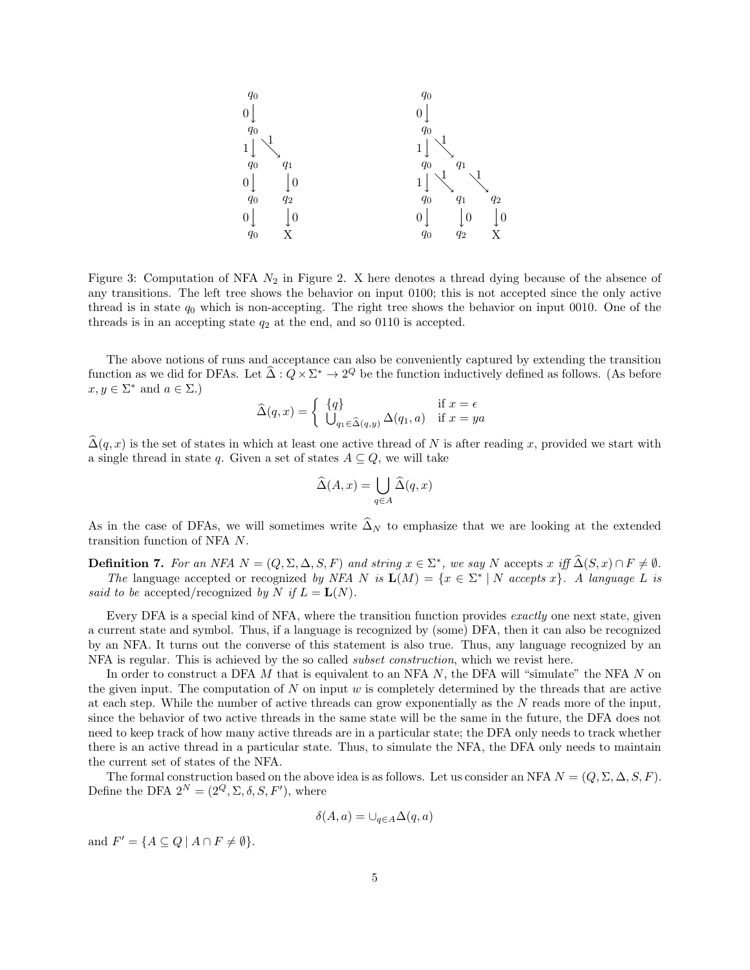

Figure 3: Computation of NFA  $N_2$  in Figure 2. X here denotes a thread dying because of the absence of any transitions. The left tree shows the behavior on input 0100; this is not accepted since the only active thread is in state  $q_0$  which is non-accepting. The right tree shows the behavior on input 0010. One of the threads is in an accepting state  $q_2$  at the end, and so 0110 is accepted.

The above notions of runs and acceptance can also be conveniently captured by extending the transition function as we did for DFAs. Let  $\hat{\Delta}: Q \times \Sigma^* \to 2^Q$  be the function inductively defined as follows. (As before  $x, y \in \Sigma^*$  and  $a \in \Sigma$ .)

$$
\widehat{\Delta}(q, x) = \begin{cases} \{q\} & \text{if } x = \epsilon \\ \bigcup_{q_1 \in \widehat{\Delta}(q, y)} \Delta(q_1, a) & \text{if } x = ya \end{cases}
$$

 $\widehat{\Delta}(q, x)$  is the set of states in which at least one active thread of N is after reading x, provided we start with a single thread in state q. Given a set of states  $A \subseteq Q$ , we will take

$$
\widehat{\Delta}(A, x) = \bigcup_{q \in A} \widehat{\Delta}(q, x)
$$

As in the case of DFAs, we will sometimes write  $\widehat{\Delta}_N$  to emphasize that we are looking at the extended transition function of NFA N.

**Definition 7.** For an NFA  $N = (Q, \Sigma, \Delta, S, F)$  and string  $x \in \Sigma^*$ , we say N accepts x iff  $\widehat{\Delta}(S, x) \cap F \neq \emptyset$ . The language accepted or recognized by NFA N is  $\mathbf{L}(M) = \{x \in \Sigma^* | N \text{ accepts } x\}$ . A language L is said to be accepted/recognized by N if  $L = L(N)$ .

Every DFA is a special kind of NFA, where the transition function provides exactly one next state, given a current state and symbol. Thus, if a language is recognized by (some) DFA, then it can also be recognized by an NFA. It turns out the converse of this statement is also true. Thus, any language recognized by an NFA is regular. This is achieved by the so called *subset construction*, which we revist here.

In order to construct a DFA  $M$  that is equivalent to an NFA  $N$ , the DFA will "simulate" the NFA  $N$  on the given input. The computation of  $N$  on input  $w$  is completely determined by the threads that are active at each step. While the number of active threads can grow exponentially as the N reads more of the input, since the behavior of two active threads in the same state will be the same in the future, the DFA does not need to keep track of how many active threads are in a particular state; the DFA only needs to track whether there is an active thread in a particular state. Thus, to simulate the NFA, the DFA only needs to maintain the current set of states of the NFA.

The formal construction based on the above idea is as follows. Let us consider an NFA  $N = (Q, \Sigma, \Delta, S, F)$ . Define the DFA  $2^N = (2^Q, \Sigma, \delta, S, F')$ , where

$$
\delta(A, a) = \cup_{q \in A} \Delta(q, a)
$$

and  $F' = \{ A \subseteq Q \mid A \cap F \neq \emptyset \}.$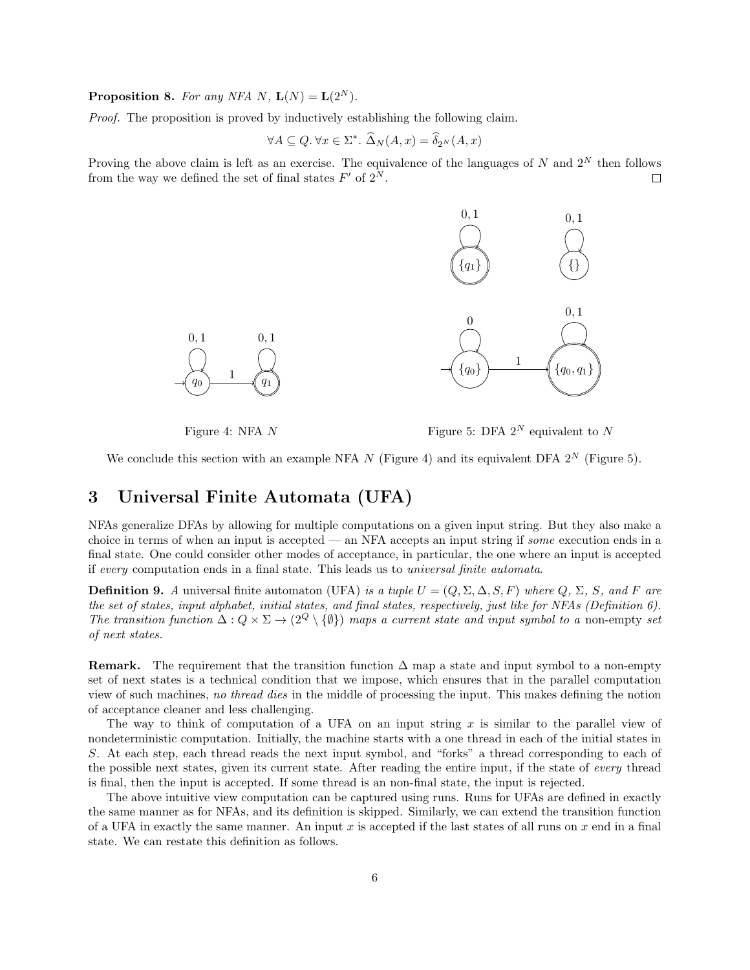**Proposition 8.** For any NFA N,  $\mathbf{L}(N) = \mathbf{L}(2^N)$ .

Proof. The proposition is proved by inductively establishing the following claim.

$$
\forall A \subseteq Q. \,\forall x \in \Sigma^*. \,\, \widehat{\Delta}_N(A, x) = \widehat{\delta}_{2^N}(A, x)
$$

Proving the above claim is left as an exercise. The equivalence of the languages of N and  $2^N$  then follows from the way we defined the set of final states  $F'$  of  $2^N$ .  $\Box$ 



Figure 4: NFA N

Figure 5: DFA  $2^N$  equivalent to N

We conclude this section with an example NFA N (Figure 4) and its equivalent DFA  $2^N$  (Figure 5).

# 3 Universal Finite Automata (UFA)

NFAs generalize DFAs by allowing for multiple computations on a given input string. But they also make a choice in terms of when an input is accepted — an NFA accepts an input string if some execution ends in a final state. One could consider other modes of acceptance, in particular, the one where an input is accepted if every computation ends in a final state. This leads us to universal finite automata.

**Definition 9.** A universal finite automaton (UFA) is a tuple  $U = (Q, \Sigma, \Delta, S, F)$  where  $Q, \Sigma, S$ , and F are the set of states, input alphabet, initial states, and final states, respectively, just like for NFAs (Definition 6). The transition function  $\Delta: Q \times \Sigma \to (2^Q \setminus \{\emptyset\})$  maps a current state and input symbol to a non-empty set of next states.

**Remark.** The requirement that the transition function  $\Delta$  map a state and input symbol to a non-empty set of next states is a technical condition that we impose, which ensures that in the parallel computation view of such machines, no thread dies in the middle of processing the input. This makes defining the notion of acceptance cleaner and less challenging.

The way to think of computation of a UFA on an input string  $x$  is similar to the parallel view of nondeterministic computation. Initially, the machine starts with a one thread in each of the initial states in S. At each step, each thread reads the next input symbol, and "forks" a thread corresponding to each of the possible next states, given its current state. After reading the entire input, if the state of every thread is final, then the input is accepted. If some thread is an non-final state, the input is rejected.

The above intuitive view computation can be captured using runs. Runs for UFAs are defined in exactly the same manner as for NFAs, and its definition is skipped. Similarly, we can extend the transition function of a UFA in exactly the same manner. An input  $x$  is accepted if the last states of all runs on  $x$  end in a final state. We can restate this definition as follows.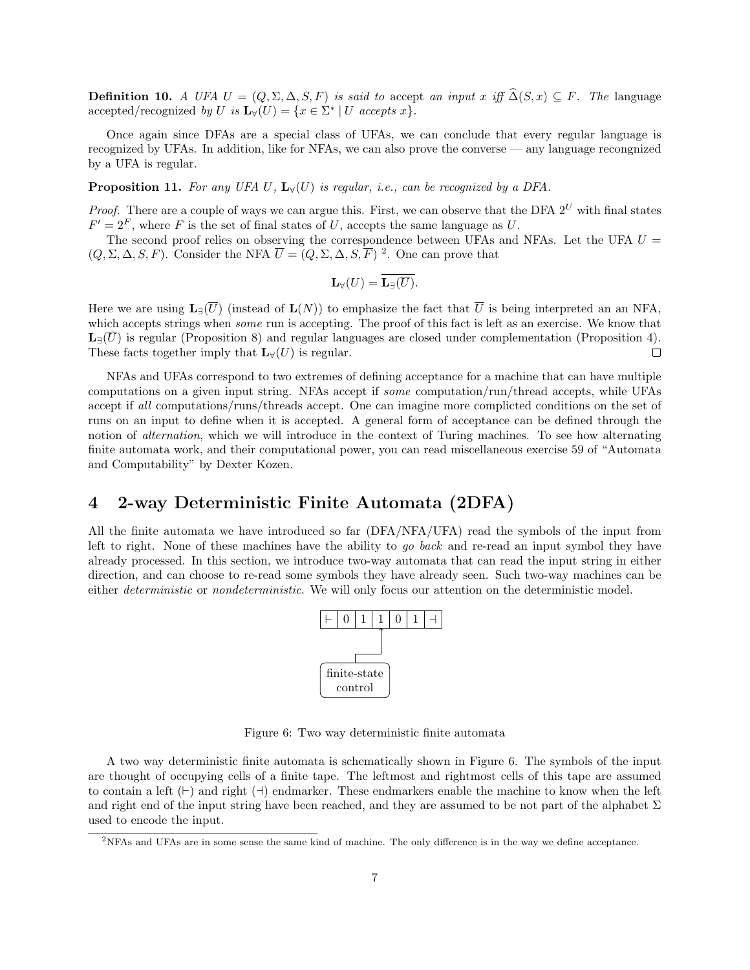**Definition 10.** A UFA  $U = (Q, \Sigma, \Delta, S, F)$  is said to accept an input x iff  $\widehat{\Delta}(S, x) \subseteq F$ . The language accepted/recognized by U is  $\mathbf{L}_{\forall}(U) = \{x \in \Sigma^* \mid U \text{ accepts } x\}.$ 

Once again since DFAs are a special class of UFAs, we can conclude that every regular language is recognized by UFAs. In addition, like for NFAs, we can also prove the converse — any language recongnized by a UFA is regular.

**Proposition 11.** For any UFA U,  $\mathbf{L}_{\mathcal{V}}(U)$  is regular, i.e., can be recognized by a DFA.

*Proof.* There are a couple of ways we can argue this. First, we can observe that the DFA  $2^U$  with final states  $F' = 2<sup>F</sup>$ , where F is the set of final states of U, accepts the same language as U.

The second proof relies on observing the correspondence between UFAs and NFAs. Let the UFA  $U =$  $(Q, \Sigma, \Delta, S, F)$ . Consider the NFA  $\overline{U} = (Q, \Sigma, \Delta, S, \overline{F})^2$ . One can prove that

$$
\mathbf{L}_{\forall}(U)=\mathbf{L}_{\exists}(\overline{U}).
$$

Here we are using  $\mathbf{L}_{\exists}(\overline{U})$  (instead of  $\mathbf{L}(N)$ ) to emphasize the fact that  $\overline{U}$  is being interpreted an an NFA, which accepts strings when *some* run is accepting. The proof of this fact is left as an exercise. We know that  $\mathbf{L}_{\exists}(\overline{U})$  is regular (Proposition 8) and regular languages are closed under complementation (Proposition 4). These facts together imply that  $\mathbf{L}_{\forall}(U)$  is regular. П

NFAs and UFAs correspond to two extremes of defining acceptance for a machine that can have multiple computations on a given input string. NFAs accept if some computation/run/thread accepts, while UFAs accept if all computations/runs/threads accept. One can imagine more complicted conditions on the set of runs on an input to define when it is accepted. A general form of acceptance can be defined through the notion of alternation, which we will introduce in the context of Turing machines. To see how alternating finite automata work, and their computational power, you can read miscellaneous exercise 59 of "Automata and Computability" by Dexter Kozen.

## 4 2-way Deterministic Finite Automata (2DFA)

All the finite automata we have introduced so far (DFA/NFA/UFA) read the symbols of the input from left to right. None of these machines have the ability to go back and re-read an input symbol they have already processed. In this section, we introduce two-way automata that can read the input string in either direction, and can choose to re-read some symbols they have already seen. Such two-way machines can be either *deterministic* or *nondeterministic*. We will only focus our attention on the deterministic model.



Figure 6: Two way deterministic finite automata

A two way deterministic finite automata is schematically shown in Figure 6. The symbols of the input are thought of occupying cells of a finite tape. The leftmost and rightmost cells of this tape are assumed to contain a left  $(\vdash)$  and right  $(\dashv)$  endmarker. These endmarkers enable the machine to know when the left and right end of the input string have been reached, and they are assumed to be not part of the alphabet  $\Sigma$ used to encode the input.

<sup>2</sup>NFAs and UFAs are in some sense the same kind of machine. The only difference is in the way we define acceptance.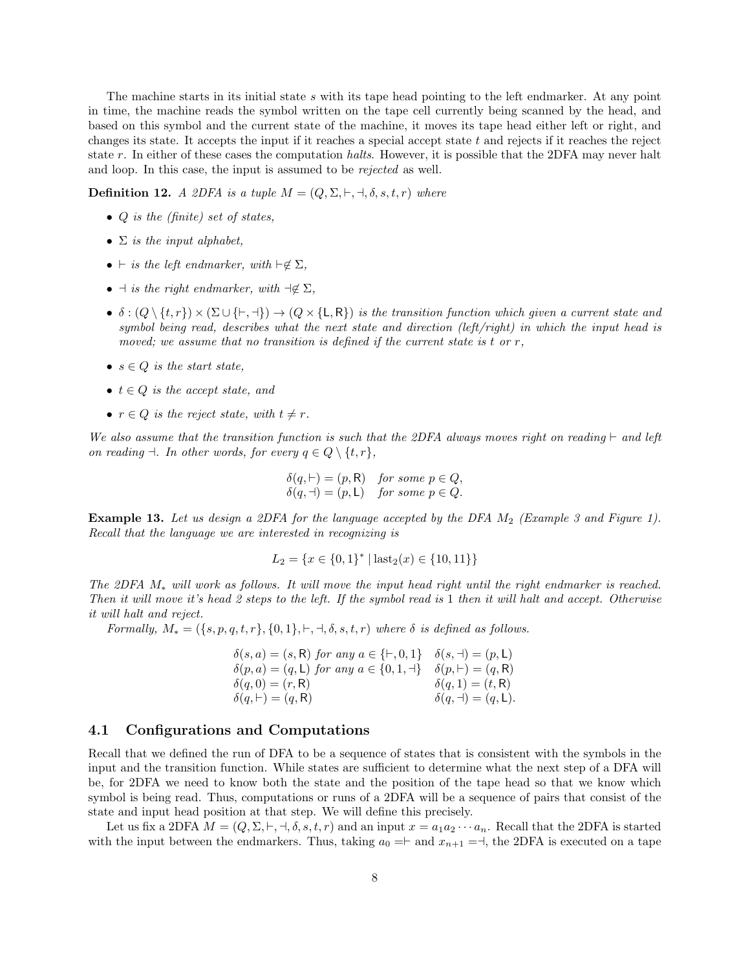The machine starts in its initial state s with its tape head pointing to the left endmarker. At any point in time, the machine reads the symbol written on the tape cell currently being scanned by the head, and based on this symbol and the current state of the machine, it moves its tape head either left or right, and changes its state. It accepts the input if it reaches a special accept state  $t$  and rejects if it reaches the reject state r. In either of these cases the computation halts. However, it is possible that the 2DFA may never halt and loop. In this case, the input is assumed to be rejected as well.

**Definition 12.** A 2DFA is a tuple  $M = (Q, \Sigma, \vdash, \dashv, \delta, s, t, r)$  where

- Q is the (finite) set of states,
- $\Sigma$  is the input alphabet,
- $\vdash$  is the left endmarker, with  $\vdash \notin \Sigma$ ,
- $\exists$  is the right endmarker, with  $\neg \notin \Sigma$ ,
- $\delta : (Q \setminus \{t, r\}) \times (\Sigma \cup \{t, \neg\}) \rightarrow (Q \times \{L, R\})$  is the transition function which given a current state and symbol being read, describes what the next state and direction (left/right) in which the input head is moved; we assume that no transition is defined if the current state is t or  $r$ ,
- $s \in Q$  is the start state,
- $t \in Q$  is the accept state, and
- $r \in Q$  is the reject state, with  $t \neq r$ .

We also assume that the transition function is such that the 2DFA always moves right on reading  $\vdash$  and left on reading  $\exists$ . In other words, for every  $q \in Q \setminus \{t, r\},\$ 

$$
\delta(q, \vdash) = (p, \mathsf{R}) \quad \text{for some } p \in Q, \n\delta(q, \dashv) = (p, \mathsf{L}) \quad \text{for some } p \in Q.
$$

**Example 13.** Let us design a 2DFA for the language accepted by the DFA  $M_2$  (Example 3 and Figure 1). Recall that the language we are interested in recognizing is

$$
L_2 = \{x \in \{0, 1\}^* \mid \text{last}_2(x) \in \{10, 11\}\}
$$

The 2DFA  $M_*$  will work as follows. It will move the input head right until the right endmarker is reached. Then it will move it's head 2 steps to the left. If the symbol read is 1 then it will halt and accept. Otherwise it will halt and reject.

Formally,  $M_* = (\{s, p, q, t, r\}, \{0, 1\}, \vdash, \dashv, \delta, s, t, r)$  where  $\delta$  is defined as follows.

| $\delta(s, a) = (s, R)$ for any $a \in \{\vdash, 0, 1\}$ $\delta(s, \dashv) = (p, L)$ |                                        |
|---------------------------------------------------------------------------------------|----------------------------------------|
| $\delta(p, a) = (q, L)$ for any $a \in \{0, 1, \dashv\}$ $\delta(p, \vdash) = (q, R)$ |                                        |
| $\delta(q,0)=(r,\mathsf{R})$                                                          | $\delta(q,1)=(t,\mathsf{R})$           |
| $\delta(q, \vdash) = (q, \mathsf{R})$                                                 | $\delta(q, \dashv) = (q, \mathsf{L}).$ |

#### 4.1 Configurations and Computations

Recall that we defined the run of DFA to be a sequence of states that is consistent with the symbols in the input and the transition function. While states are sufficient to determine what the next step of a DFA will be, for 2DFA we need to know both the state and the position of the tape head so that we know which symbol is being read. Thus, computations or runs of a 2DFA will be a sequence of pairs that consist of the state and input head position at that step. We will define this precisely.

Let us fix a 2DFA  $M = (Q, \Sigma, \vdash, \dashv, \delta, s, t, r)$  and an input  $x = a_1 a_2 \cdots a_n$ . Recall that the 2DFA is started with the input between the endmarkers. Thus, taking  $a_0 = \vdash$  and  $x_{n+1} = \vdash$ , the 2DFA is executed on a tape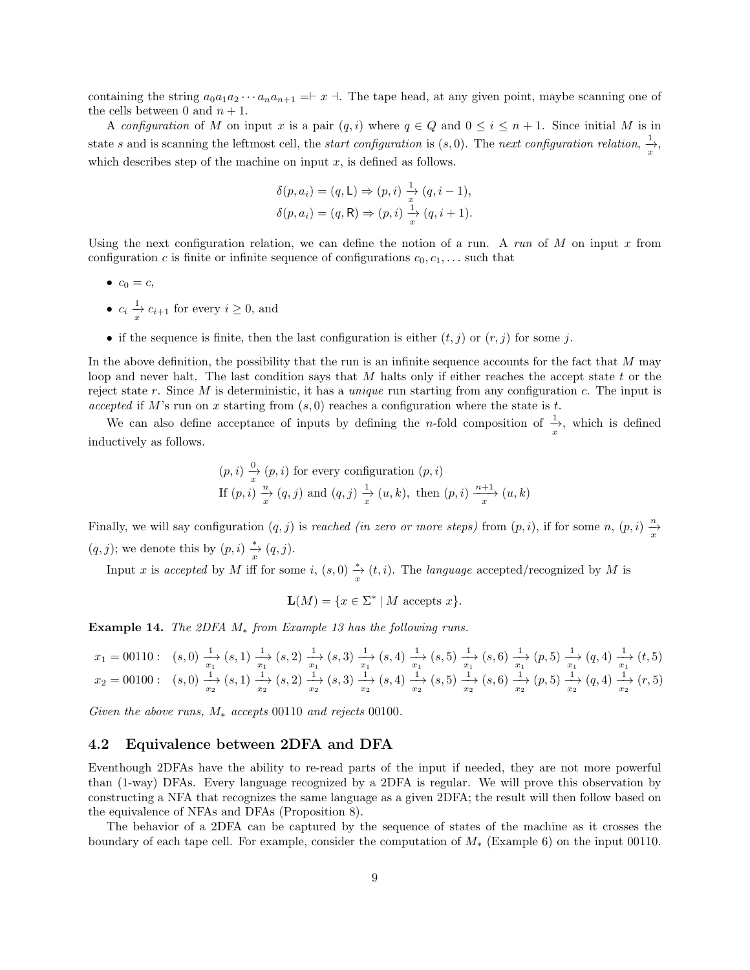containing the string  $a_0a_1a_2\cdots a_na_{n+1} = x$ . The tape head, at any given point, maybe scanning one of the cells between 0 and  $n + 1$ .

A configuration of M on input x is a pair  $(q, i)$  where  $q \in Q$  and  $0 \leq i \leq n+1$ . Since initial M is in state s and is scanning the leftmost cell, the *start configuration* is  $(s, 0)$ . The *next configuration relation*,  $\frac{1}{x}$ , which describes step of the machine on input  $x$ , is defined as follows.

$$
\delta(p, a_i) = (q, \mathsf{L}) \Rightarrow (p, i) \frac{1}{x} (q, i - 1),
$$
  

$$
\delta(p, a_i) = (q, \mathsf{R}) \Rightarrow (p, i) \frac{1}{x} (q, i + 1).
$$

Using the next configuration relation, we can define the notion of a run. A run of  $M$  on input  $x$  from configuration c is finite or infinite sequence of configurations  $c_0, c_1, \ldots$  such that

- $\bullet \ \ c_0 = c,$
- $c_i \frac{1}{x} c_{i+1}$  for every  $i \geq 0$ , and
- if the sequence is finite, then the last configuration is either  $(t, j)$  or  $(r, j)$  for some j.

In the above definition, the possibility that the run is an infinite sequence accounts for the fact that  $M$  may loop and never halt. The last condition says that M halts only if either reaches the accept state t or the reject state r. Since M is deterministic, it has a *unique* run starting from any configuration c. The input is accepted if M's run on x starting from  $(s, 0)$  reaches a configuration where the state is t.

We can also define acceptance of inputs by defining the *n*-fold composition of  $\frac{1}{x}$ , which is defined inductively as follows.

$$
(p, i) \frac{\partial}{x}(p, i)
$$
 for every configuration  $(p, i)$   
If  $(p, i) \frac{n}{x}(q, j)$  and  $(q, j) \frac{1}{x}(u, k)$ , then  $(p, i) \frac{n+1}{x}(u, k)$ 

Finally, we will say configuration  $(q, j)$  is *reached (in zero or more steps)* from  $(p, i)$ , if for some  $n, (p, i) \frac{n}{x}$  $(q, j)$ ; we denote this by  $(p, i) \frac{1}{x} (q, j)$ .

Input x is accepted by M iff for some i,  $(s, 0) \frac{*}{x}(t, i)$ . The language accepted/recognized by M is

$$
\mathbf{L}(M) = \{ x \in \Sigma^* \mid M \text{ accepts } x \}.
$$

Example 14. The 2DFA  $M_*$  from Example 13 has the following runs.

$$
\begin{array}{lllllllll} x_1=00110: & (s,0)&\xrightarrow{x_1}^{1}(s,1)&\xrightarrow{x_1}^{1}(s,2)&\xrightarrow{x_1}^{1}(s,3)&\xrightarrow{x_1}^{1}(s,4)&\xrightarrow{x_1}^{1}(s,5)&\xrightarrow{x_1}^{1}(s,6)&\xrightarrow{x_1}^{1}(p,5)&\xrightarrow{x_1}^{1}(q,4)&\xrightarrow{x_1}^{1}(t,5)\\ x_2=00100: & (s,0)&\xrightarrow{x_2}^{1}(s,1)&\xrightarrow{x_2}^{1}(s,2)&\xrightarrow{x_2}^{1}(s,3)&\xrightarrow{x_2}^{1}(s,4)&\xrightarrow{x_2}^{1}(s,5)&\xrightarrow{x_2}^{1}(s,6)&\xrightarrow{x_2}^{1}(p,5)&\xrightarrow{x_2}^{1}(q,4)&\xrightarrow{x_2}^{1}(r,5) \end{array}
$$

Given the above runs,  $M_*$  accepts 00110 and rejects 00100.

#### 4.2 Equivalence between 2DFA and DFA

Eventhough 2DFAs have the ability to re-read parts of the input if needed, they are not more powerful than (1-way) DFAs. Every language recognized by a 2DFA is regular. We will prove this observation by constructing a NFA that recognizes the same language as a given 2DFA; the result will then follow based on the equivalence of NFAs and DFAs (Proposition 8).

The behavior of a 2DFA can be captured by the sequence of states of the machine as it crosses the boundary of each tape cell. For example, consider the computation of M<sup>∗</sup> (Example 6) on the input 00110.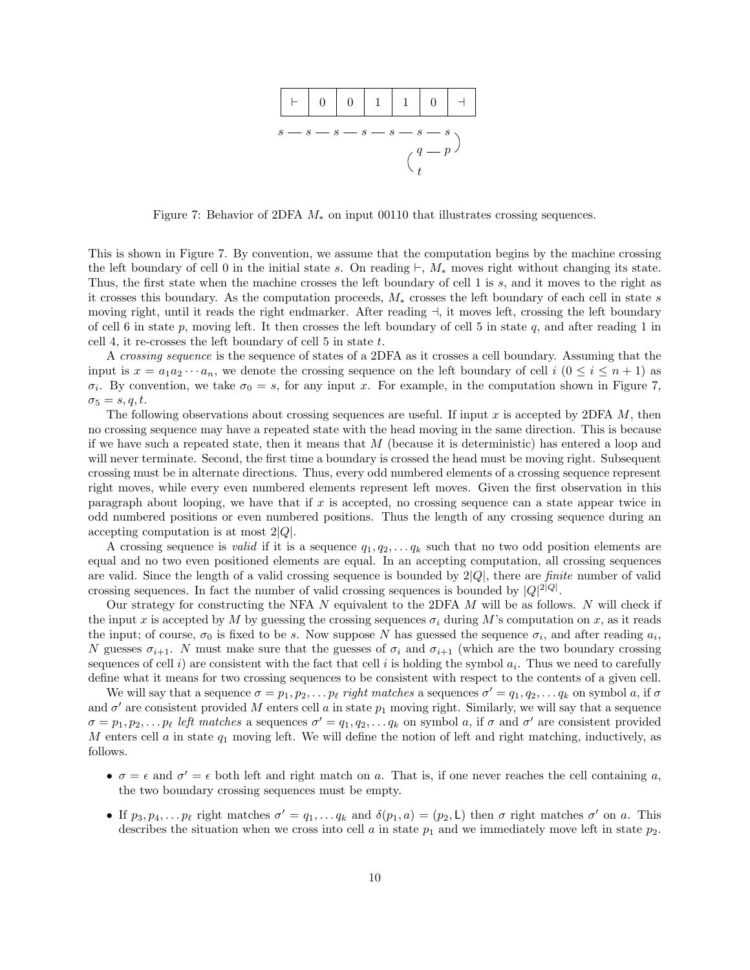

Figure 7: Behavior of 2DFA  $M_*$  on input 00110 that illustrates crossing sequences.

This is shown in Figure 7. By convention, we assume that the computation begins by the machine crossing the left boundary of cell 0 in the initial state s. On reading  $\vdash$ , M<sub>\*</sub> moves right without changing its state. Thus, the first state when the machine crosses the left boundary of cell 1 is s, and it moves to the right as it crosses this boundary. As the computation proceeds, M<sup>∗</sup> crosses the left boundary of each cell in state s moving right, until it reads the right endmarker. After reading  $\exists$ , it moves left, crossing the left boundary of cell 6 in state p, moving left. It then crosses the left boundary of cell 5 in state q, and after reading 1 in cell 4, it re-crosses the left boundary of cell  $5$  in state  $t$ .

A crossing sequence is the sequence of states of a 2DFA as it crosses a cell boundary. Assuming that the input is  $x = a_1 a_2 \cdots a_n$ , we denote the crossing sequence on the left boundary of cell  $i \ (0 \leq i \leq n+1)$  as  $\sigma_i$ . By convention, we take  $\sigma_0 = s$ , for any input x. For example, in the computation shown in Figure 7,  $\sigma_5 = s, q, t.$ 

The following observations about crossing sequences are useful. If input  $x$  is accepted by 2DFA  $M$ , then no crossing sequence may have a repeated state with the head moving in the same direction. This is because if we have such a repeated state, then it means that  $M$  (because it is deterministic) has entered a loop and will never terminate. Second, the first time a boundary is crossed the head must be moving right. Subsequent crossing must be in alternate directions. Thus, every odd numbered elements of a crossing sequence represent right moves, while every even numbered elements represent left moves. Given the first observation in this paragraph about looping, we have that if  $x$  is accepted, no crossing sequence can a state appear twice in odd numbered positions or even numbered positions. Thus the length of any crossing sequence during an accepting computation is at most  $2|Q|$ .

A crossing sequence is *valid* if it is a sequence  $q_1, q_2, \ldots, q_k$  such that no two odd position elements are equal and no two even positioned elements are equal. In an accepting computation, all crossing sequences are valid. Since the length of a valid crossing sequence is bounded by  $2|Q|$ , there are *finite* number of valid crossing sequences. In fact the number of valid crossing sequences is bounded by  $|Q|^{2|Q|}$ .

Our strategy for constructing the NFA  $N$  equivalent to the 2DFA  $M$  will be as follows.  $N$  will check if the input x is accepted by M by guessing the crossing sequences  $\sigma_i$  during M's computation on x, as it reads the input; of course,  $\sigma_0$  is fixed to be s. Now suppose N has guessed the sequence  $\sigma_i$ , and after reading  $a_i$ , N guesses  $\sigma_{i+1}$ . N must make sure that the guesses of  $\sigma_i$  and  $\sigma_{i+1}$  (which are the two boundary crossing sequences of cell i) are consistent with the fact that cell i is holding the symbol  $a_i$ . Thus we need to carefully define what it means for two crossing sequences to be consistent with respect to the contents of a given cell.

We will say that a sequence  $\sigma = p_1, p_2, \ldots p_\ell$  right matches a sequences  $\sigma' = q_1, q_2, \ldots q_k$  on symbol a, if  $\sigma$ and  $\sigma'$  are consistent provided M enters cell a in state  $p_1$  moving right. Similarly, we will say that a sequence  $\sigma = p_1, p_2, \ldots p_\ell$  left matches a sequences  $\sigma' = q_1, q_2, \ldots q_k$  on symbol a, if  $\sigma$  and  $\sigma'$  are consistent provided M enters cell a in state  $q_1$  moving left. We will define the notion of left and right matching, inductively, as follows.

- $\bullet \ \sigma = \epsilon$  and  $\sigma' = \epsilon$  both left and right match on a. That is, if one never reaches the cell containing a, the two boundary crossing sequences must be empty.
- If  $p_3, p_4, \ldots p_\ell$  right matches  $\sigma' = q_1, \ldots q_k$  and  $\delta(p_1, a) = (p_2, \mathsf{L})$  then  $\sigma$  right matches  $\sigma'$  on a. This describes the situation when we cross into cell a in state  $p_1$  and we immediately move left in state  $p_2$ .